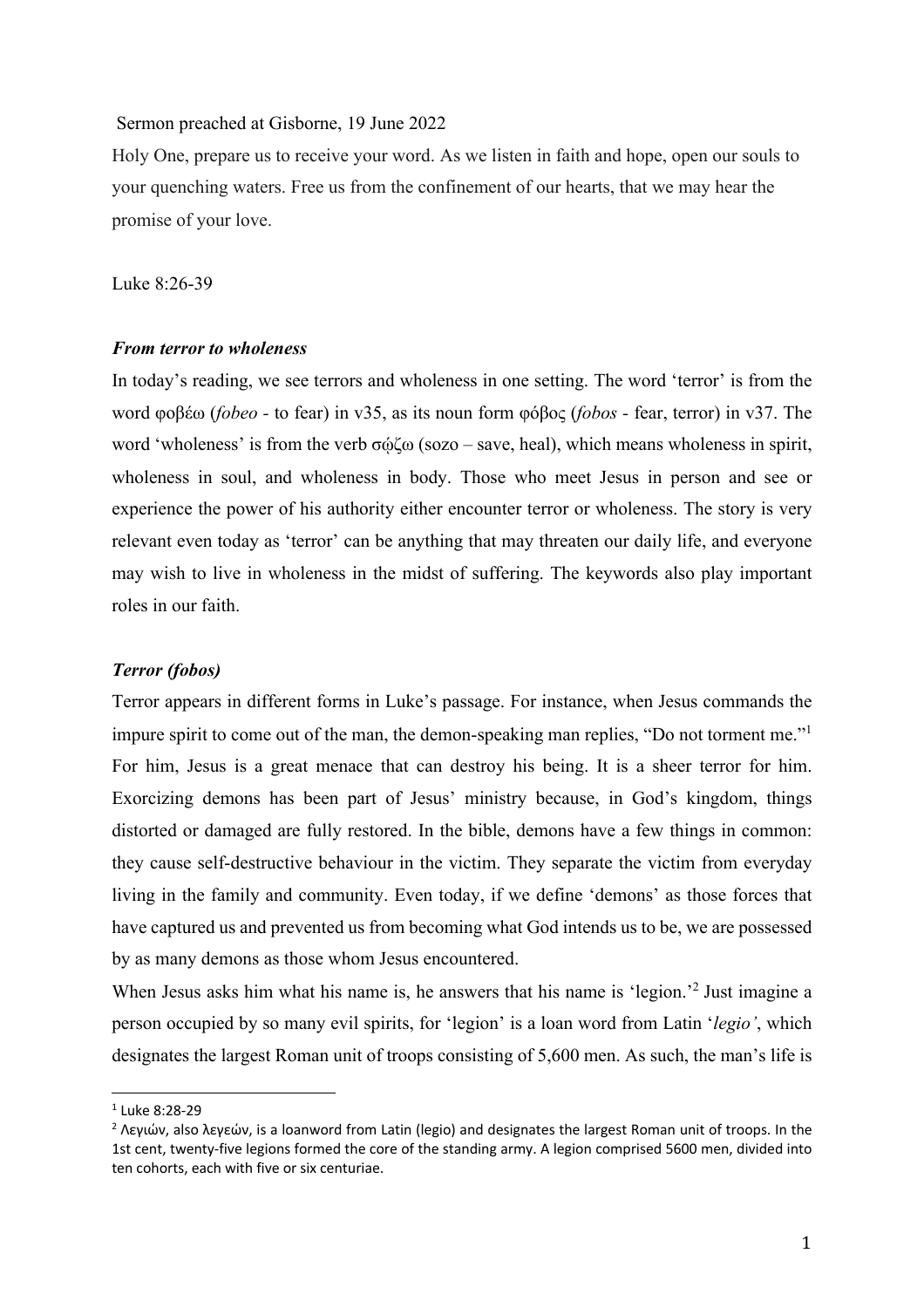## Sermon preached at Gisborne, 19 June 2022

Holy One, prepare us to receive your word. As we listen in faith and hope, open our souls to your quenching waters. Free us from the confinement of our hearts, that we may hear the promise of your love.

Luke 8:26-39

## *From terror to wholeness*

In today's reading, we see terrors and wholeness in one setting. The word 'terror' is from the word φοβέω (*fobeo -* to fear) in v35, as its noun form φόβος (*fobos -* fear, terror) in v37. The word 'wholeness' is from the verb σώζω (sozo – save, heal), which means wholeness in spirit, wholeness in soul, and wholeness in body. Those who meet Jesus in person and see or experience the power of his authority either encounter terror or wholeness. The story is very relevant even today as 'terror' can be anything that may threaten our daily life, and everyone may wish to live in wholeness in the midst of suffering. The keywords also play important roles in our faith.

## *Terror (fobos)*

Terror appears in different forms in Luke's passage. For instance, when Jesus commands the impure spirit to come out of the man, the demon-speaking man replies, "Do not torment me."1 For him, Jesus is a great menace that can destroy his being. It is a sheer terror for him. Exorcizing demons has been part of Jesus' ministry because, in God's kingdom, things distorted or damaged are fully restored. In the bible, demons have a few things in common: they cause self-destructive behaviour in the victim. They separate the victim from everyday living in the family and community. Even today, if we define 'demons' as those forces that have captured us and prevented us from becoming what God intends us to be, we are possessed by as many demons as those whom Jesus encountered.

When Jesus asks him what his name is, he answers that his name is 'legion.'<sup>2</sup> Just imagine a person occupied by so many evil spirits, for 'legion' is a loan word from Latin '*legio'*, which designates the largest Roman unit of troops consisting of 5,600 men. As such, the man's life is

<sup>1</sup> Luke 8:28-29

<sup>2</sup> Λεγιών, also λεγεών, is a loanword from Latin (legio) and designates the largest Roman unit of troops. In the 1st cent, twenty-five legions formed the core of the standing army. A legion comprised 5600 men, divided into ten cohorts, each with five or six centuriae.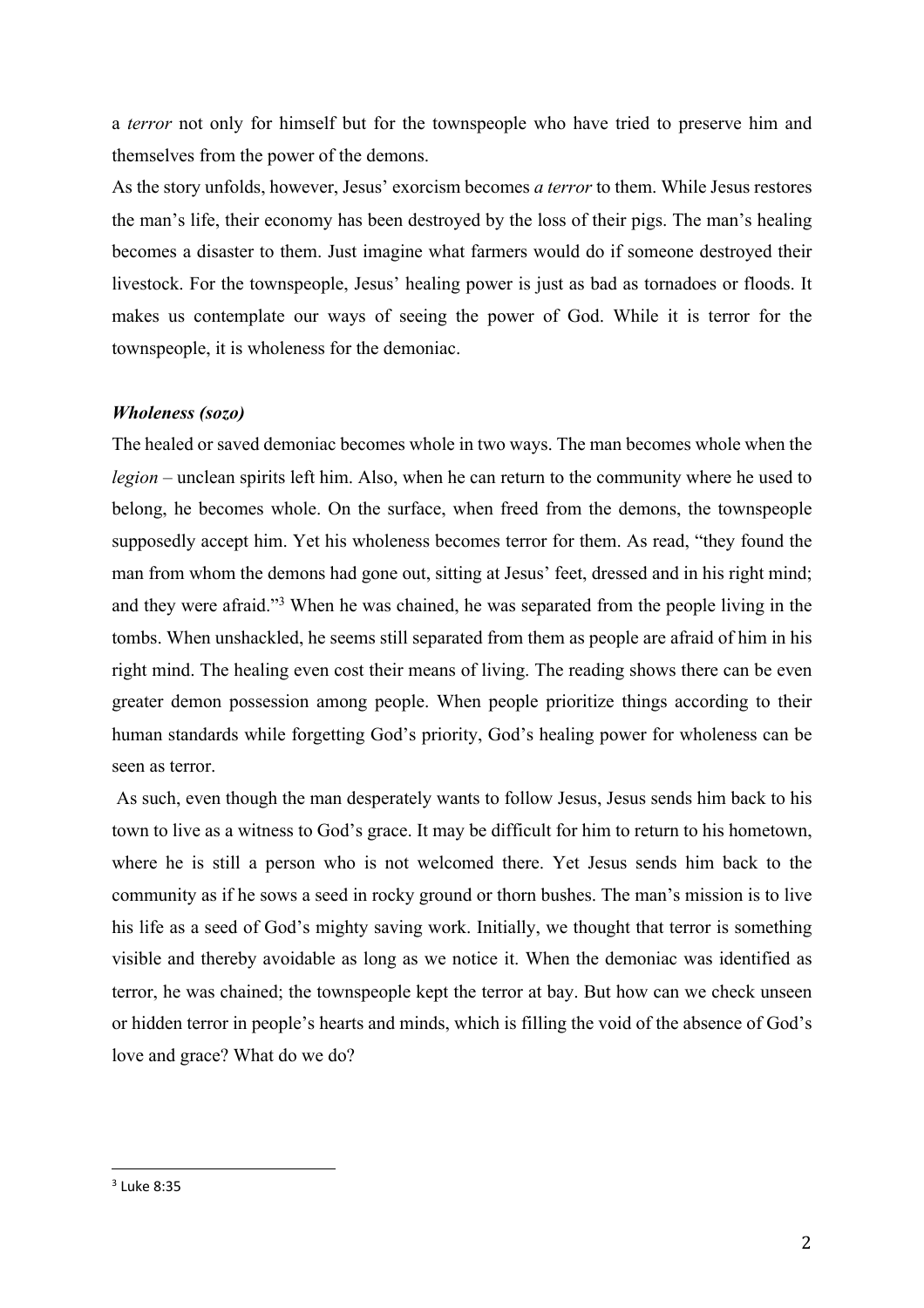a *terror* not only for himself but for the townspeople who have tried to preserve him and themselves from the power of the demons.

As the story unfolds, however, Jesus' exorcism becomes *a terror* to them. While Jesus restores the man's life, their economy has been destroyed by the loss of their pigs. The man's healing becomes a disaster to them. Just imagine what farmers would do if someone destroyed their livestock. For the townspeople, Jesus' healing power is just as bad as tornadoes or floods. It makes us contemplate our ways of seeing the power of God. While it is terror for the townspeople, it is wholeness for the demoniac.

## *Wholeness (sozo)*

The healed or saved demoniac becomes whole in two ways. The man becomes whole when the *legion* – unclean spirits left him. Also, when he can return to the community where he used to belong, he becomes whole. On the surface, when freed from the demons, the townspeople supposedly accept him. Yet his wholeness becomes terror for them. As read, "they found the man from whom the demons had gone out, sitting at Jesus' feet, dressed and in his right mind; and they were afraid."3 When he was chained, he was separated from the people living in the tombs. When unshackled, he seems still separated from them as people are afraid of him in his right mind. The healing even cost their means of living. The reading shows there can be even greater demon possession among people. When people prioritize things according to their human standards while forgetting God's priority, God's healing power for wholeness can be seen as terror.

As such, even though the man desperately wants to follow Jesus, Jesus sends him back to his town to live as a witness to God's grace. It may be difficult for him to return to his hometown, where he is still a person who is not welcomed there. Yet Jesus sends him back to the community as if he sows a seed in rocky ground or thorn bushes. The man's mission is to live his life as a seed of God's mighty saving work. Initially, we thought that terror is something visible and thereby avoidable as long as we notice it. When the demoniac was identified as terror, he was chained; the townspeople kept the terror at bay. But how can we check unseen or hidden terror in people's hearts and minds, which is filling the void of the absence of God's love and grace? What do we do?

 $3$  Luke 8:35